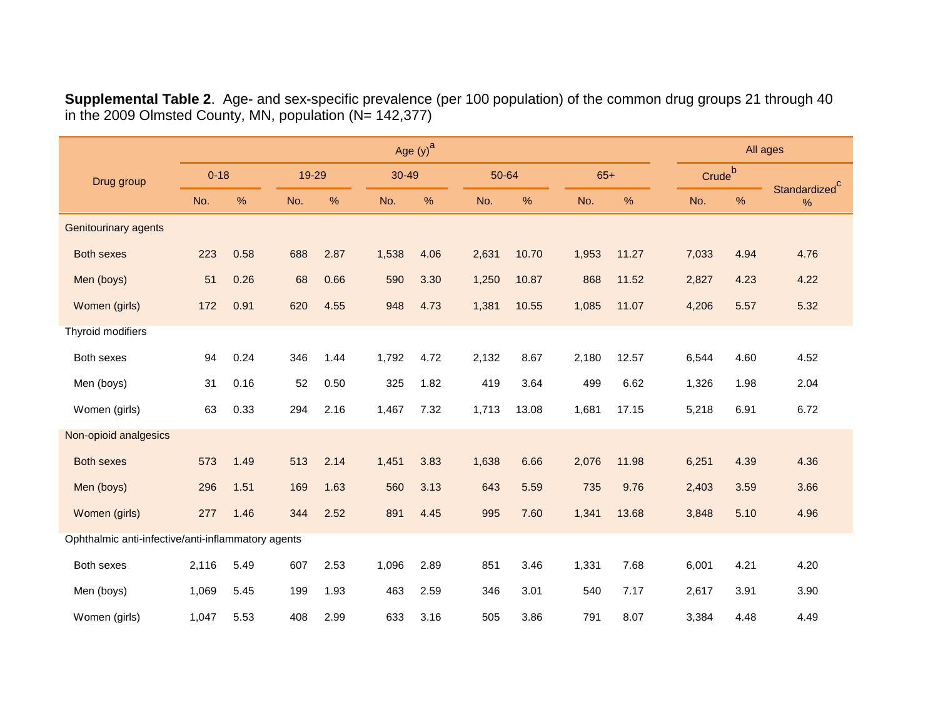**Supplemental Table 2**. Age- and sex-specific prevalence (per 100 population) of the common drug groups 21 through 40 in the 2009 Olmsted County, MN, population (N= 142,377)

|                                                    | Age $(y)^a$ |      |       |      |           |      |       |       |       |       |  |       | All ages           |                                   |  |
|----------------------------------------------------|-------------|------|-------|------|-----------|------|-------|-------|-------|-------|--|-------|--------------------|-----------------------------------|--|
| Drug group                                         | $0 - 18$    |      | 19-29 |      | $30 - 49$ |      | 50-64 |       | $65+$ |       |  |       | Crude <sup>b</sup> |                                   |  |
|                                                    | No.         | %    | No.   | %    | No.       | $\%$ | No.   | $\%$  | No.   | %     |  | No.   | $\%$               | Standardized <sup>C</sup><br>$\%$ |  |
| <b>Genitourinary agents</b>                        |             |      |       |      |           |      |       |       |       |       |  |       |                    |                                   |  |
| <b>Both sexes</b>                                  | 223         | 0.58 | 688   | 2.87 | 1,538     | 4.06 | 2,631 | 10.70 | 1,953 | 11.27 |  | 7,033 | 4.94               | 4.76                              |  |
| Men (boys)                                         | 51          | 0.26 | 68    | 0.66 | 590       | 3.30 | 1,250 | 10.87 | 868   | 11.52 |  | 2,827 | 4.23               | 4.22                              |  |
| Women (girls)                                      | 172         | 0.91 | 620   | 4.55 | 948       | 4.73 | 1,381 | 10.55 | 1,085 | 11.07 |  | 4,206 | 5.57               | 5.32                              |  |
| Thyroid modifiers                                  |             |      |       |      |           |      |       |       |       |       |  |       |                    |                                   |  |
| Both sexes                                         | 94          | 0.24 | 346   | 1.44 | 1,792     | 4.72 | 2,132 | 8.67  | 2,180 | 12.57 |  | 6,544 | 4.60               | 4.52                              |  |
| Men (boys)                                         | 31          | 0.16 | 52    | 0.50 | 325       | 1.82 | 419   | 3.64  | 499   | 6.62  |  | 1,326 | 1.98               | 2.04                              |  |
| Women (girls)                                      | 63          | 0.33 | 294   | 2.16 | 1,467     | 7.32 | 1,713 | 13.08 | 1,681 | 17.15 |  | 5,218 | 6.91               | 6.72                              |  |
| Non-opioid analgesics                              |             |      |       |      |           |      |       |       |       |       |  |       |                    |                                   |  |
| <b>Both sexes</b>                                  | 573         | 1.49 | 513   | 2.14 | 1,451     | 3.83 | 1,638 | 6.66  | 2,076 | 11.98 |  | 6,251 | 4.39               | 4.36                              |  |
| Men (boys)                                         | 296         | 1.51 | 169   | 1.63 | 560       | 3.13 | 643   | 5.59  | 735   | 9.76  |  | 2,403 | 3.59               | 3.66                              |  |
| Women (girls)                                      | 277         | 1.46 | 344   | 2.52 | 891       | 4.45 | 995   | 7.60  | 1,341 | 13.68 |  | 3,848 | 5.10               | 4.96                              |  |
| Ophthalmic anti-infective/anti-inflammatory agents |             |      |       |      |           |      |       |       |       |       |  |       |                    |                                   |  |
| Both sexes                                         | 2,116       | 5.49 | 607   | 2.53 | 1,096     | 2.89 | 851   | 3.46  | 1,331 | 7.68  |  | 6,001 | 4.21               | 4.20                              |  |
| Men (boys)                                         | 1,069       | 5.45 | 199   | 1.93 | 463       | 2.59 | 346   | 3.01  | 540   | 7.17  |  | 2,617 | 3.91               | 3.90                              |  |
| Women (girls)                                      | 1,047       | 5.53 | 408   | 2.99 | 633       | 3.16 | 505   | 3.86  | 791   | 8.07  |  | 3,384 | 4.48               | 4.49                              |  |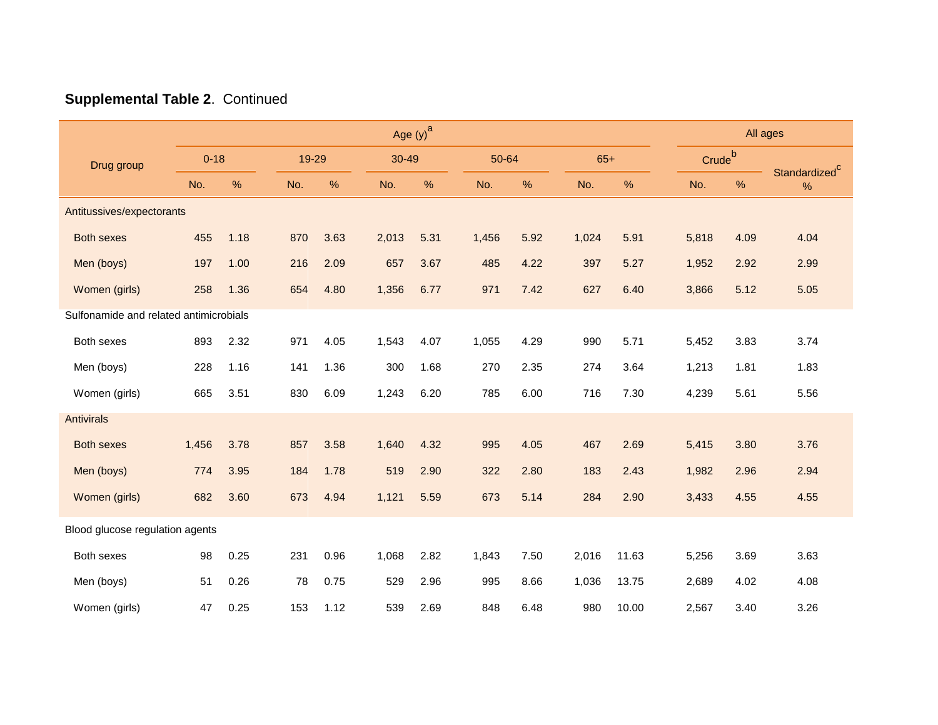|                                        | Age $(y)$ <sup>a</sup> |      |     |       |       |       |       |       |       |       |  |                    | All ages |                                   |  |
|----------------------------------------|------------------------|------|-----|-------|-------|-------|-------|-------|-------|-------|--|--------------------|----------|-----------------------------------|--|
| Drug group                             | $0 - 18$               |      |     | 19-29 |       | 30-49 |       | 50-64 |       | $65+$ |  | Crude <sup>b</sup> |          |                                   |  |
|                                        | No.                    | %    | No. | $\%$  | No.   | %     | No.   | %     | No.   | %     |  | No.                | %        | Standardized <sup>C</sup><br>$\%$ |  |
| Antitussives/expectorants              |                        |      |     |       |       |       |       |       |       |       |  |                    |          |                                   |  |
| <b>Both sexes</b>                      | 455                    | 1.18 | 870 | 3.63  | 2,013 | 5.31  | 1,456 | 5.92  | 1,024 | 5.91  |  | 5,818              | 4.09     | 4.04                              |  |
| Men (boys)                             | 197                    | 1.00 | 216 | 2.09  | 657   | 3.67  | 485   | 4.22  | 397   | 5.27  |  | 1,952              | 2.92     | 2.99                              |  |
| Women (girls)                          | 258                    | 1.36 | 654 | 4.80  | 1,356 | 6.77  | 971   | 7.42  | 627   | 6.40  |  | 3,866              | 5.12     | 5.05                              |  |
| Sulfonamide and related antimicrobials |                        |      |     |       |       |       |       |       |       |       |  |                    |          |                                   |  |
| Both sexes                             | 893                    | 2.32 | 971 | 4.05  | 1,543 | 4.07  | 1,055 | 4.29  | 990   | 5.71  |  | 5,452              | 3.83     | 3.74                              |  |
| Men (boys)                             | 228                    | 1.16 | 141 | 1.36  | 300   | 1.68  | 270   | 2.35  | 274   | 3.64  |  | 1,213              | 1.81     | 1.83                              |  |
| Women (girls)                          | 665                    | 3.51 | 830 | 6.09  | 1,243 | 6.20  | 785   | 6.00  | 716   | 7.30  |  | 4,239              | 5.61     | 5.56                              |  |
| Antivirals                             |                        |      |     |       |       |       |       |       |       |       |  |                    |          |                                   |  |
| <b>Both sexes</b>                      | 1,456                  | 3.78 | 857 | 3.58  | 1,640 | 4.32  | 995   | 4.05  | 467   | 2.69  |  | 5,415              | 3.80     | 3.76                              |  |
| Men (boys)                             | 774                    | 3.95 | 184 | 1.78  | 519   | 2.90  | 322   | 2.80  | 183   | 2.43  |  | 1,982              | 2.96     | 2.94                              |  |
| Women (girls)                          | 682                    | 3.60 | 673 | 4.94  | 1,121 | 5.59  | 673   | 5.14  | 284   | 2.90  |  | 3,433              | 4.55     | 4.55                              |  |
| Blood glucose regulation agents        |                        |      |     |       |       |       |       |       |       |       |  |                    |          |                                   |  |
| Both sexes                             | 98                     | 0.25 | 231 | 0.96  | 1,068 | 2.82  | 1,843 | 7.50  | 2,016 | 11.63 |  | 5,256              | 3.69     | 3.63                              |  |
| Men (boys)                             | 51                     | 0.26 | 78  | 0.75  | 529   | 2.96  | 995   | 8.66  | 1,036 | 13.75 |  | 2,689              | 4.02     | 4.08                              |  |
| Women (girls)                          | 47                     | 0.25 | 153 | 1.12  | 539   | 2.69  | 848   | 6.48  | 980   | 10.00 |  | 2,567              | 3.40     | 3.26                              |  |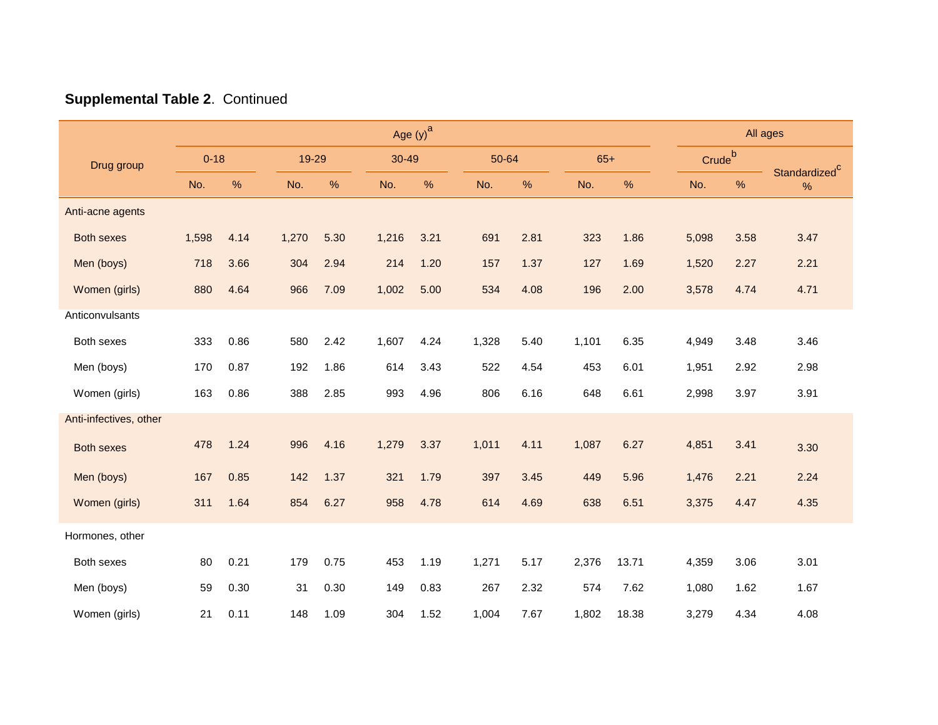|                        | Age $(y)$ <sup>a</sup> |      |       |       |       |       |       |               |       |       |  | All ages           |      |                                   |
|------------------------|------------------------|------|-------|-------|-------|-------|-------|---------------|-------|-------|--|--------------------|------|-----------------------------------|
| Drug group             | $0 - 18$               |      |       | 19-29 |       | 30-49 | 50-64 |               | $65+$ |       |  | Crude <sup>b</sup> |      |                                   |
|                        | No.                    | %    | No.   | $\%$  | No.   | $\%$  | No.   | $\frac{0}{0}$ | No.   | %     |  | No.                | $\%$ | Standardized <sup>c</sup><br>$\%$ |
| Anti-acne agents       |                        |      |       |       |       |       |       |               |       |       |  |                    |      |                                   |
| <b>Both sexes</b>      | 1,598                  | 4.14 | 1,270 | 5.30  | 1,216 | 3.21  | 691   | 2.81          | 323   | 1.86  |  | 5,098              | 3.58 | 3.47                              |
| Men (boys)             | 718                    | 3.66 | 304   | 2.94  | 214   | 1.20  | 157   | 1.37          | 127   | 1.69  |  | 1,520              | 2.27 | 2.21                              |
| Women (girls)          | 880                    | 4.64 | 966   | 7.09  | 1,002 | 5.00  | 534   | 4.08          | 196   | 2.00  |  | 3,578              | 4.74 | 4.71                              |
| Anticonvulsants        |                        |      |       |       |       |       |       |               |       |       |  |                    |      |                                   |
| Both sexes             | 333                    | 0.86 | 580   | 2.42  | 1,607 | 4.24  | 1,328 | 5.40          | 1,101 | 6.35  |  | 4,949              | 3.48 | 3.46                              |
| Men (boys)             | 170                    | 0.87 | 192   | 1.86  | 614   | 3.43  | 522   | 4.54          | 453   | 6.01  |  | 1,951              | 2.92 | 2.98                              |
| Women (girls)          | 163                    | 0.86 | 388   | 2.85  | 993   | 4.96  | 806   | 6.16          | 648   | 6.61  |  | 2,998              | 3.97 | 3.91                              |
| Anti-infectives, other |                        |      |       |       |       |       |       |               |       |       |  |                    |      |                                   |
| <b>Both sexes</b>      | 478                    | 1.24 | 996   | 4.16  | 1,279 | 3.37  | 1,011 | 4.11          | 1,087 | 6.27  |  | 4,851              | 3.41 | 3.30                              |
| Men (boys)             | 167                    | 0.85 | 142   | 1.37  | 321   | 1.79  | 397   | 3.45          | 449   | 5.96  |  | 1,476              | 2.21 | 2.24                              |
| Women (girls)          | 311                    | 1.64 | 854   | 6.27  | 958   | 4.78  | 614   | 4.69          | 638   | 6.51  |  | 3,375              | 4.47 | 4.35                              |
| Hormones, other        |                        |      |       |       |       |       |       |               |       |       |  |                    |      |                                   |
| Both sexes             | 80                     | 0.21 | 179   | 0.75  | 453   | 1.19  | 1,271 | 5.17          | 2,376 | 13.71 |  | 4,359              | 3.06 | 3.01                              |
|                        |                        |      |       |       |       |       |       |               |       |       |  |                    |      |                                   |
| Men (boys)             | 59                     | 0.30 | 31    | 0.30  | 149   | 0.83  | 267   | 2.32          | 574   | 7.62  |  | 1,080              | 1.62 | 1.67                              |
| Women (girls)          | 21                     | 0.11 | 148   | 1.09  | 304   | 1.52  | 1,004 | 7.67          | 1,802 | 18.38 |  | 3,279              | 4.34 | 4.08                              |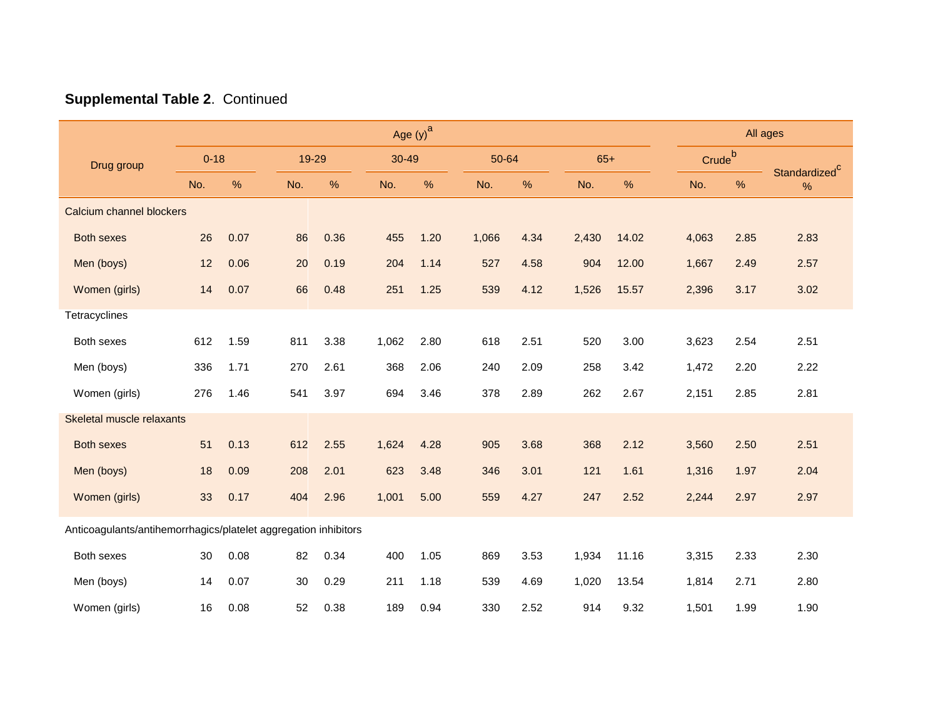|                                                                 | Age $(y)$ <sup>a</sup> |      |     |       |       |       |       |       |       |       |  |                    | All ages |                                   |  |
|-----------------------------------------------------------------|------------------------|------|-----|-------|-------|-------|-------|-------|-------|-------|--|--------------------|----------|-----------------------------------|--|
| Drug group                                                      | $0 - 18$               |      |     | 19-29 |       | 30-49 |       | 50-64 |       | $65+$ |  | Crude <sup>b</sup> |          |                                   |  |
|                                                                 | No.                    | %    | No. | %     | No.   | %     | No.   | %     | No.   | %     |  | No.                | %        | Standardized <sup>C</sup><br>$\%$ |  |
| Calcium channel blockers                                        |                        |      |     |       |       |       |       |       |       |       |  |                    |          |                                   |  |
| <b>Both sexes</b>                                               | 26                     | 0.07 | 86  | 0.36  | 455   | 1.20  | 1,066 | 4.34  | 2,430 | 14.02 |  | 4,063              | 2.85     | 2.83                              |  |
| Men (boys)                                                      | 12                     | 0.06 | 20  | 0.19  | 204   | 1.14  | 527   | 4.58  | 904   | 12.00 |  | 1,667              | 2.49     | 2.57                              |  |
| Women (girls)                                                   | 14                     | 0.07 | 66  | 0.48  | 251   | 1.25  | 539   | 4.12  | 1,526 | 15.57 |  | 2,396              | 3.17     | 3.02                              |  |
| Tetracyclines                                                   |                        |      |     |       |       |       |       |       |       |       |  |                    |          |                                   |  |
| Both sexes                                                      | 612                    | 1.59 | 811 | 3.38  | 1,062 | 2.80  | 618   | 2.51  | 520   | 3.00  |  | 3,623              | 2.54     | 2.51                              |  |
| Men (boys)                                                      | 336                    | 1.71 | 270 | 2.61  | 368   | 2.06  | 240   | 2.09  | 258   | 3.42  |  | 1,472              | 2.20     | 2.22                              |  |
| Women (girls)                                                   | 276                    | 1.46 | 541 | 3.97  | 694   | 3.46  | 378   | 2.89  | 262   | 2.67  |  | 2,151              | 2.85     | 2.81                              |  |
| Skeletal muscle relaxants                                       |                        |      |     |       |       |       |       |       |       |       |  |                    |          |                                   |  |
| <b>Both sexes</b>                                               | 51                     | 0.13 | 612 | 2.55  | 1,624 | 4.28  | 905   | 3.68  | 368   | 2.12  |  | 3,560              | 2.50     | 2.51                              |  |
| Men (boys)                                                      | 18                     | 0.09 | 208 | 2.01  | 623   | 3.48  | 346   | 3.01  | 121   | 1.61  |  | 1,316              | 1.97     | 2.04                              |  |
| Women (girls)                                                   | 33                     | 0.17 | 404 | 2.96  | 1,001 | 5.00  | 559   | 4.27  | 247   | 2.52  |  | 2,244              | 2.97     | 2.97                              |  |
| Anticoagulants/antihemorrhagics/platelet aggregation inhibitors |                        |      |     |       |       |       |       |       |       |       |  |                    |          |                                   |  |
| Both sexes                                                      | 30                     | 0.08 | 82  | 0.34  | 400   | 1.05  | 869   | 3.53  | 1,934 | 11.16 |  | 3,315              | 2.33     | 2.30                              |  |
| Men (boys)                                                      | 14                     | 0.07 | 30  | 0.29  | 211   | 1.18  | 539   | 4.69  | 1,020 | 13.54 |  | 1,814              | 2.71     | 2.80                              |  |
| Women (girls)                                                   | 16                     | 0.08 | 52  | 0.38  | 189   | 0.94  | 330   | 2.52  | 914   | 9.32  |  | 1,501              | 1.99     | 1.90                              |  |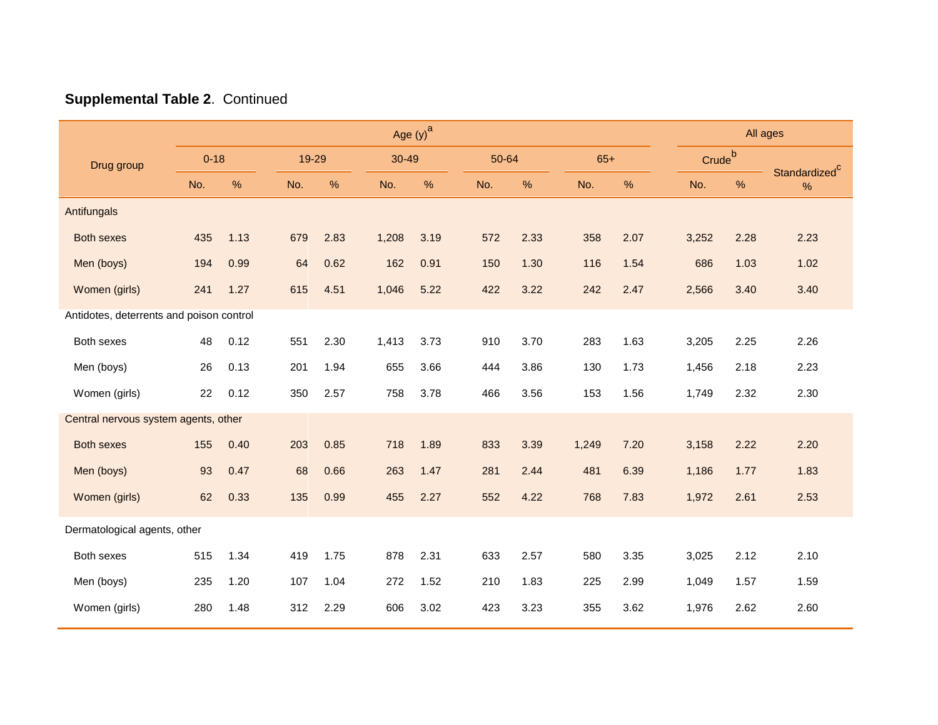|                                          | Age $(y)$ <sup>a</sup> |      |     |               |       |       |       |      |       |      |  |                    | All ages |                           |  |
|------------------------------------------|------------------------|------|-----|---------------|-------|-------|-------|------|-------|------|--|--------------------|----------|---------------------------|--|
| Drug group                               | $0 - 18$               |      |     | 19-29         |       | 30-49 | 50-64 |      | $65+$ |      |  | Crude <sup>b</sup> |          | Standardized <sup>C</sup> |  |
|                                          | No.                    | $\%$ | No. | $\frac{9}{6}$ | No.   | %     | No.   | %    | No.   | $\%$ |  | No.                | $\%$     | $\%$                      |  |
| Antifungals                              |                        |      |     |               |       |       |       |      |       |      |  |                    |          |                           |  |
| <b>Both sexes</b>                        | 435                    | 1.13 | 679 | 2.83          | 1,208 | 3.19  | 572   | 2.33 | 358   | 2.07 |  | 3,252              | 2.28     | 2.23                      |  |
| Men (boys)                               | 194                    | 0.99 | 64  | 0.62          | 162   | 0.91  | 150   | 1.30 | 116   | 1.54 |  | 686                | 1.03     | 1.02                      |  |
| Women (girls)                            | 241                    | 1.27 | 615 | 4.51          | 1,046 | 5.22  | 422   | 3.22 | 242   | 2.47 |  | 2,566              | 3.40     | 3.40                      |  |
| Antidotes, deterrents and poison control |                        |      |     |               |       |       |       |      |       |      |  |                    |          |                           |  |
| Both sexes                               | 48                     | 0.12 | 551 | 2.30          | 1,413 | 3.73  | 910   | 3.70 | 283   | 1.63 |  | 3,205              | 2.25     | 2.26                      |  |
| Men (boys)                               | 26                     | 0.13 | 201 | 1.94          | 655   | 3.66  | 444   | 3.86 | 130   | 1.73 |  | 1,456              | 2.18     | 2.23                      |  |
| Women (girls)                            | 22                     | 0.12 | 350 | 2.57          | 758   | 3.78  | 466   | 3.56 | 153   | 1.56 |  | 1,749              | 2.32     | 2.30                      |  |
| Central nervous system agents, other     |                        |      |     |               |       |       |       |      |       |      |  |                    |          |                           |  |
| <b>Both sexes</b>                        | 155                    | 0.40 | 203 | 0.85          | 718   | 1.89  | 833   | 3.39 | 1,249 | 7.20 |  | 3,158              | 2.22     | 2.20                      |  |
| Men (boys)                               | 93                     | 0.47 | 68  | 0.66          | 263   | 1.47  | 281   | 2.44 | 481   | 6.39 |  | 1,186              | 1.77     | 1.83                      |  |
| Women (girls)                            | 62                     | 0.33 | 135 | 0.99          | 455   | 2.27  | 552   | 4.22 | 768   | 7.83 |  | 1,972              | 2.61     | 2.53                      |  |
| Dermatological agents, other             |                        |      |     |               |       |       |       |      |       |      |  |                    |          |                           |  |
| Both sexes                               | 515                    | 1.34 | 419 | 1.75          | 878   | 2.31  | 633   | 2.57 | 580   | 3.35 |  | 3,025              | 2.12     | 2.10                      |  |
| Men (boys)                               | 235                    | 1.20 | 107 | 1.04          | 272   | 1.52  | 210   | 1.83 | 225   | 2.99 |  | 1,049              | 1.57     | 1.59                      |  |
| Women (girls)                            | 280                    | 1.48 | 312 | 2.29          | 606   | 3.02  | 423   | 3.23 | 355   | 3.62 |  | 1,976              | 2.62     | 2.60                      |  |